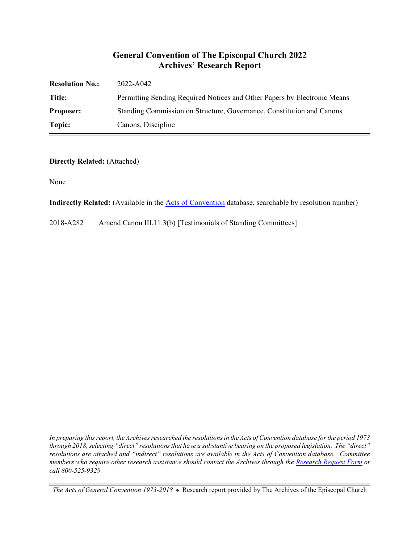#### **General Convention of The Episcopal Church 2022 Archives' Research Report**

| <b>Resolution No.:</b> | 2022-A042                                                                |
|------------------------|--------------------------------------------------------------------------|
| Title:                 | Permitting Sending Required Notices and Other Papers by Electronic Means |
| <b>Proposer:</b>       | Standing Commission on Structure, Governance, Constitution and Canons    |
| Topic:                 | Canons, Discipline                                                       |

#### **Directly Related:** (Attached)

None

**Indirectly Related:** (Available in the [Acts of Convention](https://www.episcopalarchives.org/e-archives/acts/) database, searchable by resolution number)

2018-A282 Amend Canon III.11.3(b) [Testimonials of Standing Committees]

*In preparing this report, the Archives researched the resolutions in the Acts of Convention database for the period 1973 through 2018, selecting "direct" resolutions that have a substantive bearing on the proposed legislation. The "direct" resolutions are attached and "indirect" resolutions are available in the Acts of Convention database. Committee members who require other research assistance should contact the Archives through the Research [Request Form](https://www.episcopalarchives.org/contact/research-request-form) or call 800-525-9329.*

*The Acts of General Convention 1973-2018*  $*$  Research report provided by The Archives of the Episcopal Church